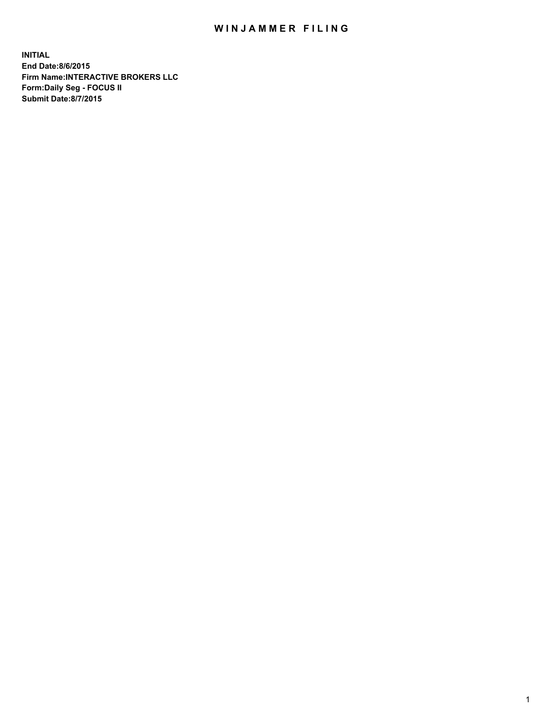## WIN JAMMER FILING

**INITIAL End Date:8/6/2015 Firm Name:INTERACTIVE BROKERS LLC Form:Daily Seg - FOCUS II Submit Date:8/7/2015**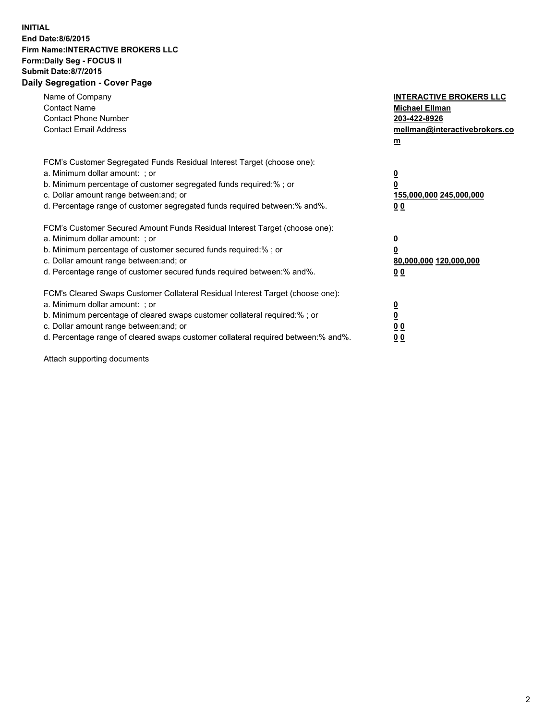## **INITIAL End Date:8/6/2015 Firm Name:INTERACTIVE BROKERS LLC Form:Daily Seg - FOCUS II Submit Date:8/7/2015 Daily Segregation - Cover Page**

| Name of Company<br><b>Contact Name</b><br><b>Contact Phone Number</b><br><b>Contact Email Address</b>                                                                                                                                                                                                                          | <b>INTERACTIVE BROKERS LLC</b><br><b>Michael Ellman</b><br>203-422-8926<br>mellman@interactivebrokers.co<br>$\mathbf{m}$ |
|--------------------------------------------------------------------------------------------------------------------------------------------------------------------------------------------------------------------------------------------------------------------------------------------------------------------------------|--------------------------------------------------------------------------------------------------------------------------|
| FCM's Customer Segregated Funds Residual Interest Target (choose one):<br>a. Minimum dollar amount: ; or<br>b. Minimum percentage of customer segregated funds required:% ; or<br>c. Dollar amount range between: and; or<br>d. Percentage range of customer segregated funds required between:% and%.                         | $\overline{\mathbf{0}}$<br>0<br>155,000,000 245,000,000<br>0 <sub>0</sub>                                                |
| FCM's Customer Secured Amount Funds Residual Interest Target (choose one):<br>a. Minimum dollar amount: ; or<br>b. Minimum percentage of customer secured funds required:%; or<br>c. Dollar amount range between: and; or<br>d. Percentage range of customer secured funds required between: % and %.                          | $\underline{\mathbf{0}}$<br>0<br>80,000,000 120,000,000<br>0 <sub>0</sub>                                                |
| FCM's Cleared Swaps Customer Collateral Residual Interest Target (choose one):<br>a. Minimum dollar amount: ; or<br>b. Minimum percentage of cleared swaps customer collateral required:% ; or<br>c. Dollar amount range between: and; or<br>d. Percentage range of cleared swaps customer collateral required between:% and%. | $\overline{\mathbf{0}}$<br>$\overline{\mathbf{0}}$<br>0 <sub>0</sub><br>0 <sup>0</sup>                                   |

Attach supporting documents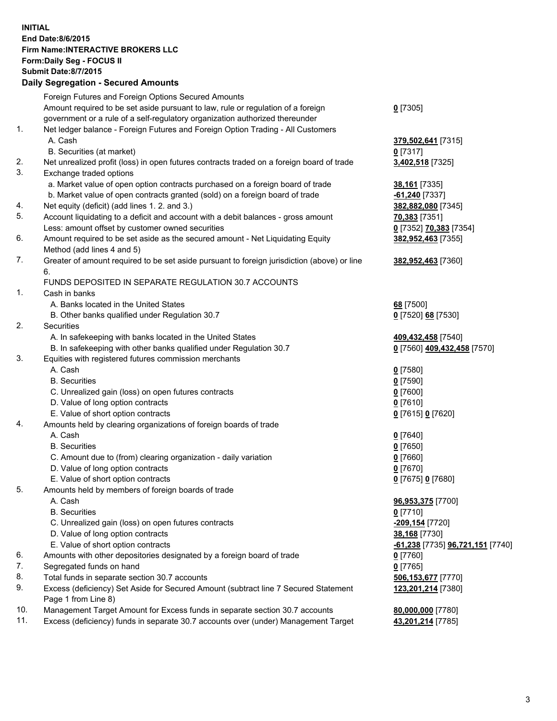## **INITIAL End Date:8/6/2015 Firm Name:INTERACTIVE BROKERS LLC Form:Daily Seg - FOCUS II Submit Date:8/7/2015 Daily Segregation - Secured Amounts**

|     | Foreign Futures and Foreign Options Secured Amounts                                         |                                  |
|-----|---------------------------------------------------------------------------------------------|----------------------------------|
|     | Amount required to be set aside pursuant to law, rule or regulation of a foreign            | $0$ [7305]                       |
|     | government or a rule of a self-regulatory organization authorized thereunder                |                                  |
| 1.  | Net ledger balance - Foreign Futures and Foreign Option Trading - All Customers             |                                  |
|     | A. Cash                                                                                     | 379,502,641 [7315]               |
|     | B. Securities (at market)                                                                   | 0 [7317]                         |
| 2.  | Net unrealized profit (loss) in open futures contracts traded on a foreign board of trade   | 3,402,518 [7325]                 |
| 3.  | Exchange traded options                                                                     |                                  |
|     | a. Market value of open option contracts purchased on a foreign board of trade              | 38,161 [7335]                    |
|     | b. Market value of open contracts granted (sold) on a foreign board of trade                | $-61,240$ [7337]                 |
| 4.  | Net equity (deficit) (add lines 1.2. and 3.)                                                | 382,882,080 [7345]               |
| 5.  | Account liquidating to a deficit and account with a debit balances - gross amount           | 70,383 [7351]                    |
|     | Less: amount offset by customer owned securities                                            | 0 [7352] 70,383 [7354]           |
| 6.  | Amount required to be set aside as the secured amount - Net Liquidating Equity              | 382,952,463 [7355]               |
|     | Method (add lines 4 and 5)                                                                  |                                  |
| 7.  |                                                                                             |                                  |
|     | Greater of amount required to be set aside pursuant to foreign jurisdiction (above) or line | 382,952,463 [7360]               |
|     | 6.                                                                                          |                                  |
|     | FUNDS DEPOSITED IN SEPARATE REGULATION 30.7 ACCOUNTS                                        |                                  |
| 1.  | Cash in banks                                                                               |                                  |
|     | A. Banks located in the United States                                                       | 68 [7500]                        |
|     | B. Other banks qualified under Regulation 30.7                                              | 0 [7520] 68 [7530]               |
| 2.  | Securities                                                                                  |                                  |
|     | A. In safekeeping with banks located in the United States                                   | 409,432,458 [7540]               |
|     | B. In safekeeping with other banks qualified under Regulation 30.7                          | 0 [7560] 409,432,458 [7570]      |
| 3.  | Equities with registered futures commission merchants                                       |                                  |
|     | A. Cash                                                                                     | $0$ [7580]                       |
|     | <b>B.</b> Securities                                                                        | $0$ [7590]                       |
|     | C. Unrealized gain (loss) on open futures contracts                                         | $0$ [7600]                       |
|     | D. Value of long option contracts                                                           | $0$ [7610]                       |
|     | E. Value of short option contracts                                                          | 0 [7615] 0 [7620]                |
| 4.  | Amounts held by clearing organizations of foreign boards of trade                           |                                  |
|     | A. Cash                                                                                     | $0$ [7640]                       |
|     | <b>B.</b> Securities                                                                        | $0$ [7650]                       |
|     | C. Amount due to (from) clearing organization - daily variation                             | $0$ [7660]                       |
|     | D. Value of long option contracts                                                           | $0$ [7670]                       |
|     | E. Value of short option contracts                                                          | 0 [7675] 0 [7680]                |
| 5.  | Amounts held by members of foreign boards of trade                                          |                                  |
|     | A. Cash                                                                                     | 96,953,375 [7700]                |
|     | <b>B.</b> Securities                                                                        | $0$ [7710]                       |
|     | C. Unrealized gain (loss) on open futures contracts                                         | -209,154 [7720]                  |
|     | D. Value of long option contracts                                                           | 38,168 [7730]                    |
|     | E. Value of short option contracts                                                          | -61,238 [7735] 96,721,151 [7740] |
| 6.  | Amounts with other depositories designated by a foreign board of trade                      | $0$ [7760]                       |
| 7.  | Segregated funds on hand                                                                    | $0$ [7765]                       |
| 8.  | Total funds in separate section 30.7 accounts                                               | 506,153,677 [7770]               |
| 9.  | Excess (deficiency) Set Aside for Secured Amount (subtract line 7 Secured Statement         | 123,201,214 [7380]               |
|     | Page 1 from Line 8)                                                                         |                                  |
| 10. | Management Target Amount for Excess funds in separate section 30.7 accounts                 | 80,000,000 [7780]                |
| 11. | Excess (deficiency) funds in separate 30.7 accounts over (under) Management Target          | 43,201,214 [7785]                |
|     |                                                                                             |                                  |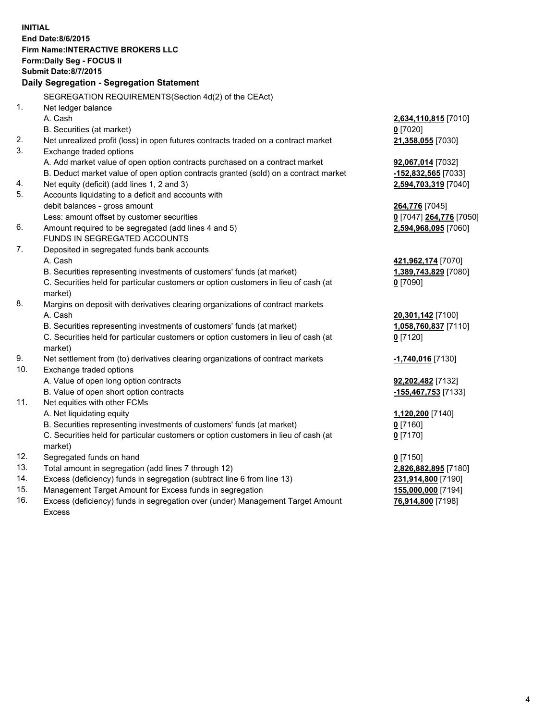**INITIAL End Date:8/6/2015 Firm Name:INTERACTIVE BROKERS LLC Form:Daily Seg - FOCUS II Submit Date:8/7/2015 Daily Segregation - Segregation Statement** SEGREGATION REQUIREMENTS(Section 4d(2) of the CEAct) 1. Net ledger balance A. Cash **2,634,110,815** [7010] B. Securities (at market) **0** [7020] 2. Net unrealized profit (loss) in open futures contracts traded on a contract market **21,358,055** [7030] 3. Exchange traded options A. Add market value of open option contracts purchased on a contract market **92,067,014** [7032] B. Deduct market value of open option contracts granted (sold) on a contract market **-152,832,565** [7033] 4. Net equity (deficit) (add lines 1, 2 and 3) **2,594,703,319** [7040] 5. Accounts liquidating to a deficit and accounts with debit balances - gross amount **264,776** [7045] Less: amount offset by customer securities **0** [7047] **264,776** [7050] 6. Amount required to be segregated (add lines 4 and 5) **2,594,968,095** [7060] FUNDS IN SEGREGATED ACCOUNTS 7. Deposited in segregated funds bank accounts A. Cash **421,962,174** [7070] B. Securities representing investments of customers' funds (at market) **1,389,743,829** [7080] C. Securities held for particular customers or option customers in lieu of cash (at market) **0** [7090] 8. Margins on deposit with derivatives clearing organizations of contract markets A. Cash **20,301,142** [7100] B. Securities representing investments of customers' funds (at market) **1,058,760,837** [7110] C. Securities held for particular customers or option customers in lieu of cash (at market) **0** [7120] 9. Net settlement from (to) derivatives clearing organizations of contract markets **-1,740,016** [7130] 10. Exchange traded options A. Value of open long option contracts **92,202,482** [7132] B. Value of open short option contracts **-155,467,753** [7133] 11. Net equities with other FCMs A. Net liquidating equity **1,120,200** [7140] B. Securities representing investments of customers' funds (at market) **0** [7160] C. Securities held for particular customers or option customers in lieu of cash (at market) **0** [7170] 12. Segregated funds on hand **0** [7150] 13. Total amount in segregation (add lines 7 through 12) **2,826,882,895** [7180] 14. Excess (deficiency) funds in segregation (subtract line 6 from line 13) **231,914,800** [7190] 15. Management Target Amount for Excess funds in segregation **155,000,000** [7194]

16. Excess (deficiency) funds in segregation over (under) Management Target Amount Excess

**76,914,800** [7198]